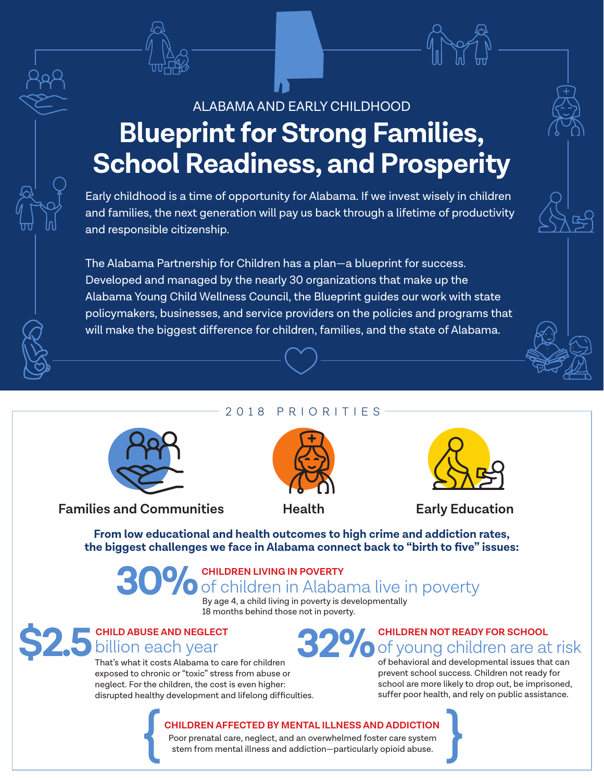## ALABAMA AND EARLY CHILDHOOD **Blueprint for Strong Families, School Readiness, and Prosperity**

Early childhood is a time of opportunity for Alabama. If we invest wisely in children and families, the next generation will pay us back through a lifetime of productivity and responsible citizenship.

The Alabama Partnership for Children has a plan—a blueprint for success. Developed and managed by the nearly 30 organizations that make up the Alabama Young Child Wellness Council, the Blueprint guides our work with state policymakers, businesses, and service providers on the policies and programs that will make the biggest difference for children, families, and the state of Alabama.

### 2018 PRIORITIES



**Families and Communities Health Early Education** 





**From low educational and health outcomes to high crime and addiction rates, the biggest challenges we face in Alabama connect back to "birth to five" issues:** 

# **CHILDREN LIVING IN POVERTY**<br>**CHILDREN LIVING IN POVERTY** in Alabama live in poverty

By age 4, a child living in poverty is developmentally 18 months behind those not in poverty.



That's what it costs Alabama to care for children exposed to chronic or "toxic" stress from abuse or neglect. For the children, the cost is even higher: disrupted healthy development and lifelong difficulties.

## **32% CHILDREN NOT READY FOR SCHOOL**<br>The School of young children are at the School of behavioral and developmental issues that of young children are at risk

of behavioral and developmental issues that can prevent school success. Children not ready for school are more likely to drop out, be imprisoned, suffer poor health, and rely on public assistance.

## **CHILDREN AFFECTED BY MENTAL ILLNESS AND ADDICTION**

Poor prenatal care, neglect, and an overwhelmed foster care system stem from mental illness and addiction—particularly opioid abuse. CHILDREN AFFECTED BY MENTAL ILLNESS AND ADDICTION<br>Poor prenatal care, neglect, and an overwhelmed foster care system<br>stem from mental illness and addiction—particularly opioid abuse.